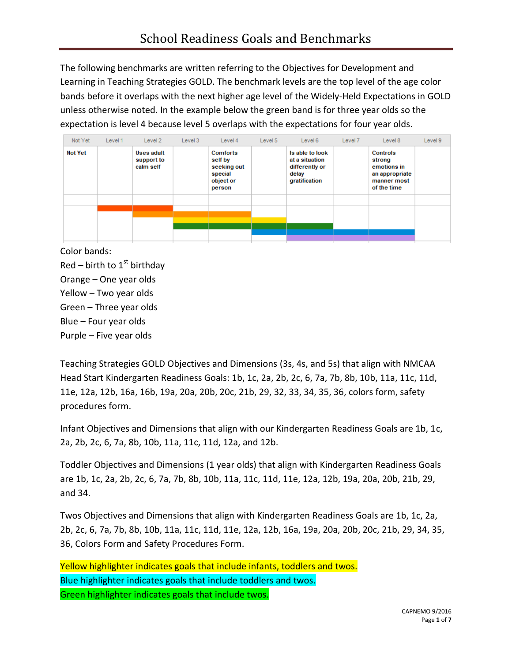The following benchmarks are written referring to the Objectives for Development and Learning in Teaching Strategies GOLD. The benchmark levels are the top level of the age color bands before it overlaps with the next higher age level of the Widely-Held Expectations in GOLD unless otherwise noted. In the example below the green band is for three year olds so the expectation is level 4 because level 5 overlaps with the expectations for four year olds.

| Not Yet        | Level 1 | Level 2                                      | Level 3 | Level 4                                                                     | Level 5 | Level 6                                                                       | Level 7 | Level 8                                                                                  | Level 9 |
|----------------|---------|----------------------------------------------|---------|-----------------------------------------------------------------------------|---------|-------------------------------------------------------------------------------|---------|------------------------------------------------------------------------------------------|---------|
| <b>Not Yet</b> |         | <b>Uses adult</b><br>support to<br>calm self |         | <b>Comforts</b><br>self by<br>seeking out<br>special<br>object or<br>person |         | Is able to look<br>at a situation<br>differently or<br>delay<br>gratification |         | <b>Controls</b><br>strong<br>emotions in<br>an appropriate<br>manner most<br>of the time |         |
|                |         |                                              |         |                                                                             |         |                                                                               |         |                                                                                          |         |
|                |         |                                              |         |                                                                             |         |                                                                               |         |                                                                                          |         |
|                |         |                                              |         |                                                                             |         |                                                                               |         |                                                                                          |         |

Color bands:  $Red$  – birth to  $1<sup>st</sup>$  birthday Orange – One year olds Yellow – Two year olds Green – Three year olds Blue – Four year olds Purple – Five year olds

Teaching Strategies GOLD Objectives and Dimensions (3s, 4s, and 5s) that align with NMCAA Head Start Kindergarten Readiness Goals: 1b, 1c, 2a, 2b, 2c, 6, 7a, 7b, 8b, 10b, 11a, 11c, 11d, 11e, 12a, 12b, 16a, 16b, 19a, 20a, 20b, 20c, 21b, 29, 32, 33, 34, 35, 36, colors form, safety procedures form.

Infant Objectives and Dimensions that align with our Kindergarten Readiness Goals are 1b, 1c, 2a, 2b, 2c, 6, 7a, 8b, 10b, 11a, 11c, 11d, 12a, and 12b.

Toddler Objectives and Dimensions (1 year olds) that align with Kindergarten Readiness Goals are 1b, 1c, 2a, 2b, 2c, 6, 7a, 7b, 8b, 10b, 11a, 11c, 11d, 11e, 12a, 12b, 19a, 20a, 20b, 21b, 29, and 34.

Twos Objectives and Dimensions that align with Kindergarten Readiness Goals are 1b, 1c, 2a, 2b, 2c, 6, 7a, 7b, 8b, 10b, 11a, 11c, 11d, 11e, 12a, 12b, 16a, 19a, 20a, 20b, 20c, 21b, 29, 34, 35, 36, Colors Form and Safety Procedures Form.

Yellow highlighter indicates goals that include infants, toddlers and twos. Blue highlighter indicates goals that include toddlers and twos. Green highlighter indicates goals that include twos.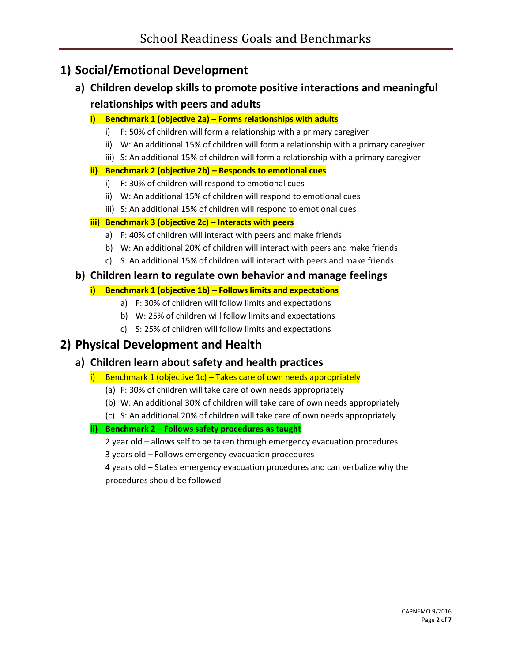# **1) Social/Emotional Development**

- **a) Children develop skills to promote positive interactions and meaningful relationships with peers and adults**
	- **i) Benchmark 1 (objective 2a) – Forms relationships with adults**
		- i) F: 50% of children will form a relationship with a primary caregiver
		- ii) W: An additional 15% of children will form a relationship with a primary caregiver
		- iii) S: An additional 15% of children will form a relationship with a primary caregiver

## **ii) Benchmark 2 (objective 2b) – Responds to emotional cues**

- i) F: 30% of children will respond to emotional cues
- ii) W: An additional 15% of children will respond to emotional cues
- iii) S: An additional 15% of children will respond to emotional cues

## **iii) Benchmark 3 (objective 2c) – Interacts with peers**

- a) F: 40% of children will interact with peers and make friends
- b) W: An additional 20% of children will interact with peers and make friends
- c) S: An additional 15% of children will interact with peers and make friends

## **b) Children learn to regulate own behavior and manage feelings**

## **i) Benchmark 1 (objective 1b) – Follows limits and expectations**

- a) F: 30% of children will follow limits and expectations
- b) W: 25% of children will follow limits and expectations
- c) S: 25% of children will follow limits and expectations

# **2) Physical Development and Health**

## **a) Children learn about safety and health practices**

- i) Benchmark 1 (objective 1c) Takes care of own needs appropriately
	- (a) F: 30% of children will take care of own needs appropriately
	- (b) W: An additional 30% of children will take care of own needs appropriately
	- (c) S: An additional 20% of children will take care of own needs appropriately

## **ii) Benchmark 2 – Follows safety procedures as taught**

2 year old – allows self to be taken through emergency evacuation procedures

3 years old – Follows emergency evacuation procedures

4 years old – States emergency evacuation procedures and can verbalize why the procedures should be followed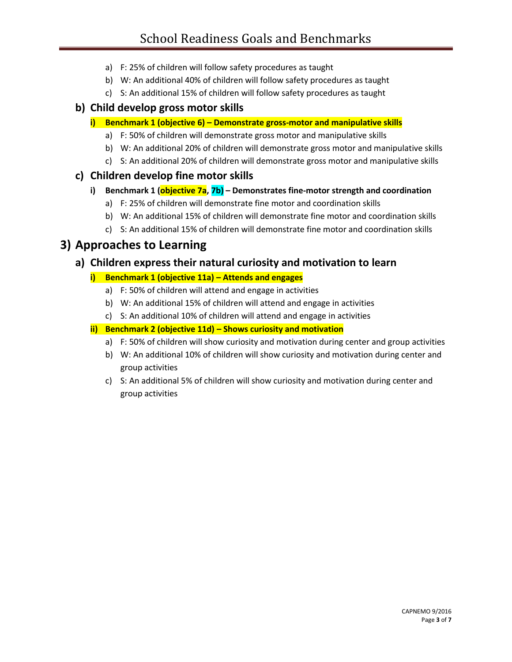- a) F: 25% of children will follow safety procedures as taught
- b) W: An additional 40% of children will follow safety procedures as taught
- c) S: An additional 15% of children will follow safety procedures as taught

## **b) Child develop gross motor skills**

- **i) Benchmark 1 (objective 6) – Demonstrate gross-motor and manipulative skills**
	- a) F: 50% of children will demonstrate gross motor and manipulative skills
	- b) W: An additional 20% of children will demonstrate gross motor and manipulative skills
	- c) S: An additional 20% of children will demonstrate gross motor and manipulative skills

## **c) Children develop fine motor skills**

#### **i) Benchmark 1 (objective 7a, 7b) – Demonstrates fine-motor strength and coordination**

- a) F: 25% of children will demonstrate fine motor and coordination skills
- b) W: An additional 15% of children will demonstrate fine motor and coordination skills
- c) S: An additional 15% of children will demonstrate fine motor and coordination skills

# **3) Approaches to Learning**

## **a) Children express their natural curiosity and motivation to learn**

## **i) Benchmark 1 (objective 11a) – Attends and engages**

- a) F: 50% of children will attend and engage in activities
- b) W: An additional 15% of children will attend and engage in activities
- c) S: An additional 10% of children will attend and engage in activities

#### **ii) Benchmark 2 (objective 11d) – Shows curiosity and motivation**

- a) F: 50% of children will show curiosity and motivation during center and group activities
- b) W: An additional 10% of children will show curiosity and motivation during center and group activities
- c) S: An additional 5% of children will show curiosity and motivation during center and group activities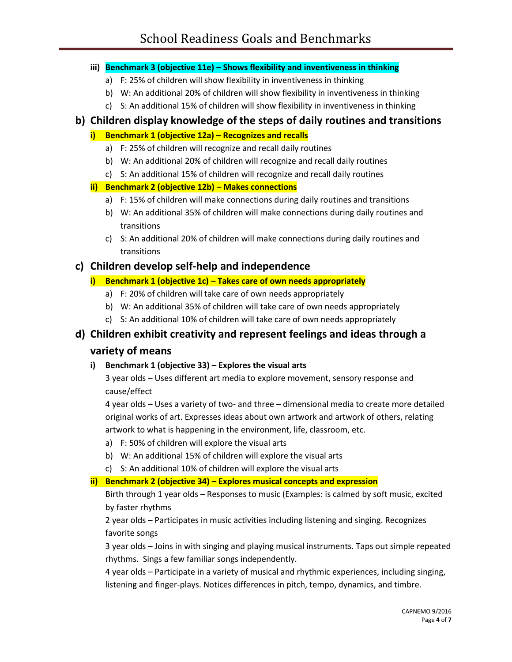#### **iii) Benchmark 3 (objective 11e) – Shows flexibility and inventiveness in thinking**

- a) F: 25% of children will show flexibility in inventiveness in thinking
- b) W: An additional 20% of children will show flexibility in inventiveness in thinking
- c) S: An additional 15% of children will show flexibility in inventiveness in thinking

## **b) Children display knowledge of the steps of daily routines and transitions**

## **i) Benchmark 1 (objective 12a) – Recognizes and recalls**

- a) F: 25% of children will recognize and recall daily routines
- b) W: An additional 20% of children will recognize and recall daily routines
- c) S: An additional 15% of children will recognize and recall daily routines

## **ii) Benchmark 2 (objective 12b) – Makes connections**

- a) F: 15% of children will make connections during daily routines and transitions
- b) W: An additional 35% of children will make connections during daily routines and transitions
- c) S: An additional 20% of children will make connections during daily routines and transitions

## **c) Children develop self-help and independence**

## **i) Benchmark 1 (objective 1c) – Takes care of own needs appropriately**

- a) F: 20% of children will take care of own needs appropriately
- b) W: An additional 35% of children will take care of own needs appropriately
- c) S: An additional 10% of children will take care of own needs appropriately

# **d) Children exhibit creativity and represent feelings and ideas through a**

## **variety of means**

**i) Benchmark 1 (objective 33) – Explores the visual arts**

3 year olds – Uses different art media to explore movement, sensory response and cause/effect

4 year olds – Uses a variety of two- and three – dimensional media to create more detailed original works of art. Expresses ideas about own artwork and artwork of others, relating artwork to what is happening in the environment, life, classroom, etc.

- a) F: 50% of children will explore the visual arts
- b) W: An additional 15% of children will explore the visual arts
- c) S: An additional 10% of children will explore the visual arts

## **ii) Benchmark 2 (objective 34) – Explores musical concepts and expression**

Birth through 1 year olds – Responses to music (Examples: is calmed by soft music, excited by faster rhythms

2 year olds – Participates in music activities including listening and singing. Recognizes favorite songs

3 year olds – Joins in with singing and playing musical instruments. Taps out simple repeated rhythms. Sings a few familiar songs independently.

4 year olds – Participate in a variety of musical and rhythmic experiences, including singing, listening and finger-plays. Notices differences in pitch, tempo, dynamics, and timbre.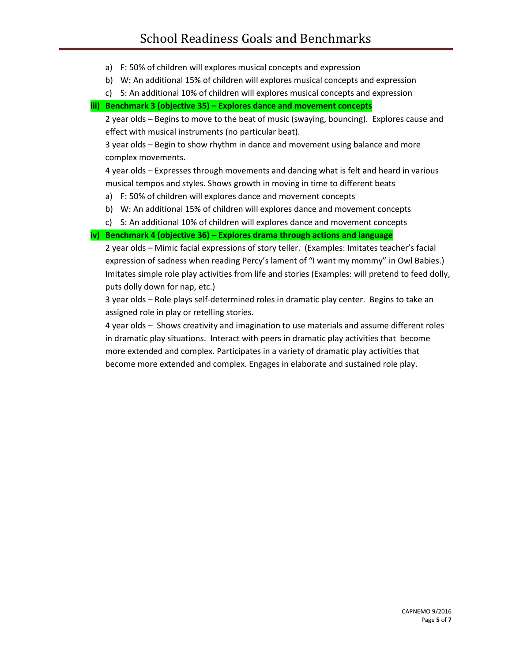- a) F: 50% of children will explores musical concepts and expression
- b) W: An additional 15% of children will explores musical concepts and expression
- c) S: An additional 10% of children will explores musical concepts and expression

#### **iii) Benchmark 3 (objective 35) – Explores dance and movement concepts**

2 year olds – Begins to move to the beat of music (swaying, bouncing). Explores cause and effect with musical instruments (no particular beat).

3 year olds – Begin to show rhythm in dance and movement using balance and more complex movements.

4 year olds – Expresses through movements and dancing what is felt and heard in various musical tempos and styles. Shows growth in moving in time to different beats

- a) F: 50% of children will explores dance and movement concepts
- b) W: An additional 15% of children will explores dance and movement concepts
- c) S: An additional 10% of children will explores dance and movement concepts

#### **iv) Benchmark 4 (objective 36) – Explores drama through actions and language**

2 year olds – Mimic facial expressions of story teller. (Examples: Imitates teacher's facial expression of sadness when reading Percy's lament of "I want my mommy" in Owl Babies.) Imitates simple role play activities from life and stories (Examples: will pretend to feed dolly, puts dolly down for nap, etc.)

3 year olds – Role plays self-determined roles in dramatic play center. Begins to take an assigned role in play or retelling stories.

4 year olds – Shows creativity and imagination to use materials and assume different roles in dramatic play situations. Interact with peers in dramatic play activities that become more extended and complex. Participates in a variety of dramatic play activities that become more extended and complex. Engages in elaborate and sustained role play.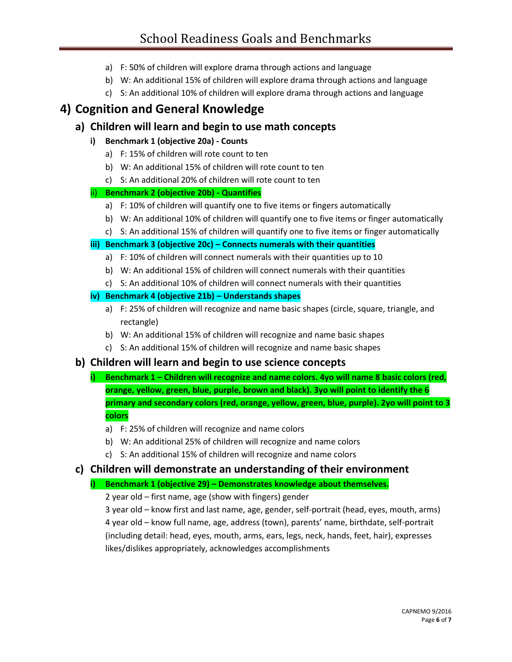- a) F: 50% of children will explore drama through actions and language
- b) W: An additional 15% of children will explore drama through actions and language
- c) S: An additional 10% of children will explore drama through actions and language

# **4) Cognition and General Knowledge**

## **a) Children will learn and begin to use math concepts**

## **i) Benchmark 1 (objective 20a) - Counts**

- a) F: 15% of children will rote count to ten
- b) W: An additional 15% of children will rote count to ten
- c) S: An additional 20% of children will rote count to ten

## ii) **Benchmark 2 (objective 20b) - Quantifies**

- a) F: 10% of children will quantify one to five items or fingers automatically
- b) W: An additional 10% of children will quantify one to five items or finger automatically
- c) S: An additional 15% of children will quantify one to five items or finger automatically

#### **iii) Benchmark 3 (objective 20c) – Connects numerals with their quantities**

- a) F: 10% of children will connect numerals with their quantities up to 10
- b) W: An additional 15% of children will connect numerals with their quantities
- c) S: An additional 10% of children will connect numerals with their quantities

## **iv) Benchmark 4 (objective 21b) – Understands shapes**

- a) F: 25% of children will recognize and name basic shapes (circle, square, triangle, and rectangle)
- b) W: An additional 15% of children will recognize and name basic shapes
- c) S: An additional 15% of children will recognize and name basic shapes

## **b) Children will learn and begin to use science concepts**

- **i)** Benchmark 1 Children will recognize and name colors. 4yo will name 8 basic colors (red, **orange, yellow, green, blue, purple, brown and black). 3yo will point to identify the 6 primary and secondary colors (red, orange, yellow, green, blue, purple). 2yo will point to 3 colors**
	- a) F: 25% of children will recognize and name colors
	- b) W: An additional 25% of children will recognize and name colors
	- c) S: An additional 15% of children will recognize and name colors

## **c) Children will demonstrate an understanding of their environment**

## **i) Benchmark 1 (objective 29) – Demonstrates knowledge about themselves.**

2 year old – first name, age (show with fingers) gender

3 year old – know first and last name, age, gender, self-portrait (head, eyes, mouth, arms) 4 year old – know full name, age, address (town), parents' name, birthdate, self-portrait (including detail: head, eyes, mouth, arms, ears, legs, neck, hands, feet, hair), expresses likes/dislikes appropriately, acknowledges accomplishments